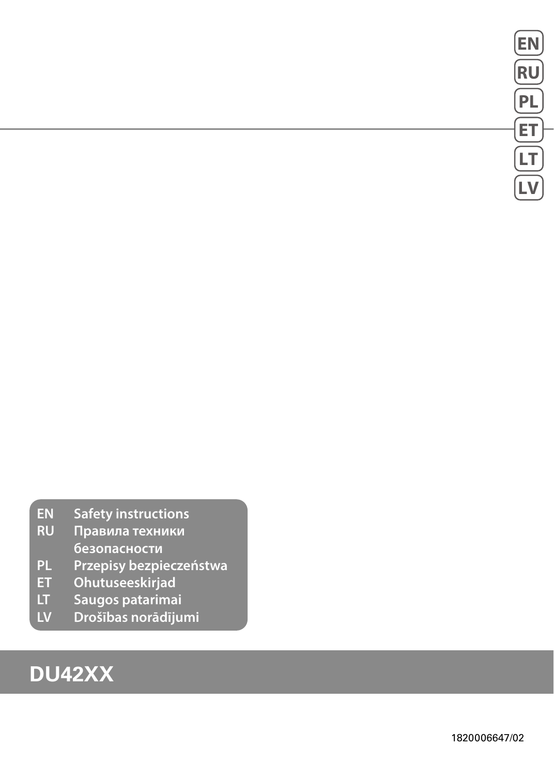- **EN Safety instructions**
- **RU Правила техники безопасности**
- **PL Przepisy bezpieczeństwa**
- **ET Ohutuseeskirjad**
- 
- **LT Saugos patarimai LV Drošības norādījumi**

# **DU42XX**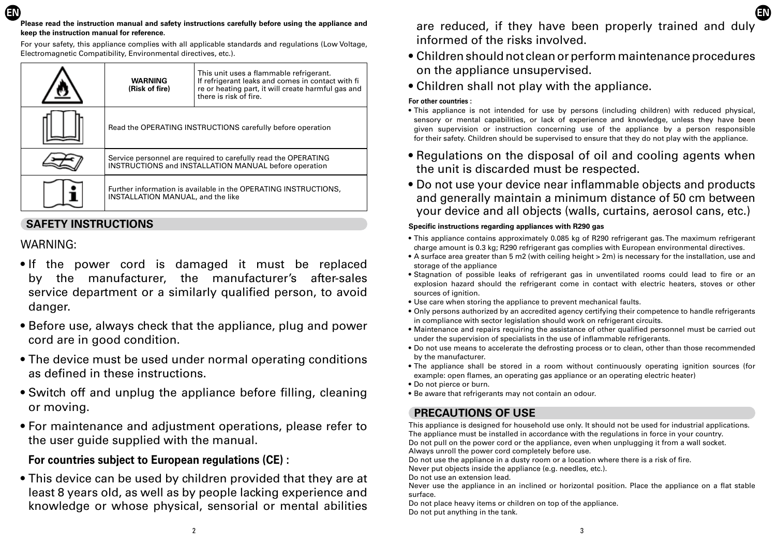For your safety, this appliance complies with all applicable standards and regulations (Low Voltage, Electromagnetic Compatibility, Environmental directives, etc.).

| <b>WARNING</b><br>(Risk of fire)                                                                                               | This unit uses a flammable refrigerant.<br>If refrigerant leaks and comes in contact with fi<br>re or heating part, it will create harmful gas and<br>there is risk of fire. |
|--------------------------------------------------------------------------------------------------------------------------------|------------------------------------------------------------------------------------------------------------------------------------------------------------------------------|
| Read the OPERATING INSTRUCTIONS carefully before operation                                                                     |                                                                                                                                                                              |
| Service personnel are required to carefully read the OPERATING<br><b>INSTRUCTIONS and INSTALLATION MANUAL before operation</b> |                                                                                                                                                                              |
| Further information is available in the OPERATING INSTRUCTIONS,<br><b>INSTALLATION MANUAL, and the like</b>                    |                                                                                                                                                                              |

## **SAFETY INSTRUCTIONS**

## WARNING:

- If the power cord is damaged it must be replaced by the manufacturer, the manufacturer's after-sales service department or a similarly qualified person, to avoid danger.
- Before use, always check that the appliance, plug and power cord are in good condition.
- The device must be used under normal operating conditions as defined in these instructions.
- Switch off and unplug the appliance before filling, cleaning or moving.
- For maintenance and adjustment operations, please refer to the user guide supplied with the manual.

# **For countries subject to European regulations (CE) :**

• This device can be used by children provided that they are at least 8 years old, as well as by people lacking experience and knowledge or whose physical, sensorial or mental abilities

are reduced, if they have been properly trained and duly informed of the risks involved.

- Children should not clean or perform maintenance procedures on the appliance unsupervised.
- Children shall not play with the appliance.

#### **For other countries :**

- This appliance is not intended for use by persons (including children) with reduced physical, sensory or mental capabilities, or lack of experience and knowledge, unless they have been given supervision or instruction concerning use of the appliance by a person responsible for their safety. Children should be supervised to ensure that they do not play with the appliance.
- Regulations on the disposal of oil and cooling agents when the unit is discarded must be respected.
- Do not use your device near inflammable objects and products and generally maintain a minimum distance of 50 cm between your device and all objects (walls, curtains, aerosol cans, etc.)

#### **Specific instructions regarding appliances with R290 gas**

- This appliance contains approximately 0.085 kg of R290 refrigerant gas. The maximum refrigerant charge amount is 0.3 kg; R290 refrigerant gas complies with European environmental directives.
- A surface area greater than 5 m2 (with ceiling height > 2m) is necessary for the installation, use and storage of the appliance
- Stagnation of possible leaks of refrigerant gas in unventilated rooms could lead to fire or an explosion hazard should the refrigerant come in contact with electric heaters, stoves or other sources of ignition.
- Use care when storing the appliance to prevent mechanical faults.
- Only persons authorized by an accredited agency certifying their competence to handle refrigerants in compliance with sector legislation should work on refrigerant circuits.
- Maintenance and repairs requiring the assistance of other qualified personnel must be carried out under the supervision of specialists in the use of inflammable refrigerants.
- Do not use means to accelerate the defrosting process or to clean, other than those recommended by the manufacturer.
- The appliance shall be stored in a room without continuously operating ignition sources (for example: open flames, an operating gas appliance or an operating electric heater)
- Do not pierce or burn.
- Be aware that refrigerants may not contain an odour.

# **PRECAUTIONS OF USE**

This appliance is designed for household use only. It should not be used for industrial applications. The appliance must be installed in accordance with the regulations in force in your country. Do not pull on the power cord or the appliance, even when unplugging it from a wall socket. Always unroll the power cord completely before use.

Do not use the appliance in a dusty room or a location where there is a risk of fire.

Never put objects inside the appliance (e.g. needles, etc.).

Do not use an extension lead.

Never use the appliance in an inclined or horizontal position. Place the appliance on a flat stable surface.

Do not place heavy items or children on top of the appliance. Do not put anything in the tank.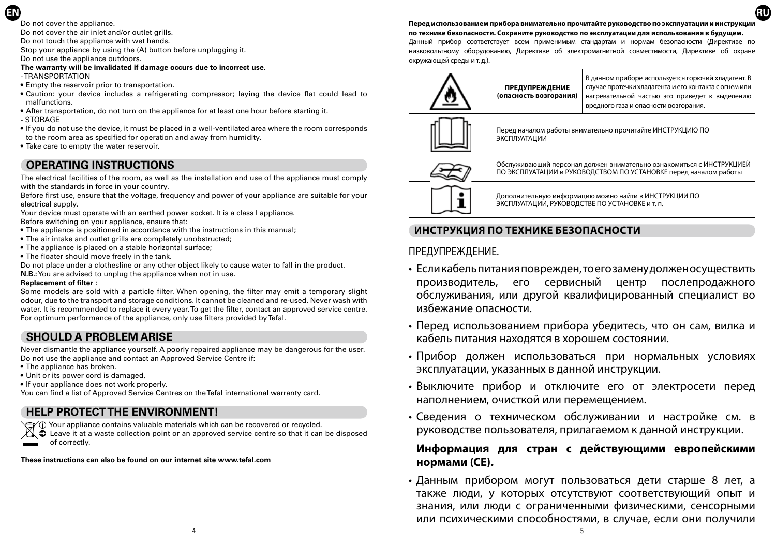Do not cover the appliance.

**EN**

Do not cover the air inlet and/or outlet grills.

Do not touch the appliance with wet hands.

Stop your appliance by using the (A) button before unplugging it.

Do not use the appliance outdoors.

#### **The warranty will be invalidated if damage occurs due to incorrect use.** - TRANSPORTATION

- Empty the reservoir prior to transportation.
- Caution: your device includes a refrigerating compressor; laying the device flat could lead to malfunctions.
- After transportation, do not turn on the appliance for at least one hour before starting it. - STORAGE
- If you do not use the device, it must be placed in a well-ventilated area where the room corresponds to the room area as specified for operation and away from humidity.
- Take care to empty the water reservoir.

# **OPERATING INSTRUCTIONS**

The electrical facilities of the room, as well as the installation and use of the appliance must comply with the standards in force in your country.

Before first use, ensure that the voltage, frequency and power of your appliance are suitable for your electrical supply.

Your device must operate with an earthed power socket. It is a class I appliance. Before switching on your appliance, ensure that:

- The appliance is positioned in accordance with the instructions in this manual;
- The air intake and outlet grills are completely unobstructed;
- The appliance is placed on a stable horizontal surface;
- The floater should move freely in the tank.

Do not place under a clothesline or any other object likely to cause water to fall in the product.

**N.B.:** You are advised to unplug the appliance when not in use.

#### **Replacement of filter :**

Some models are sold with a particle filter. When opening, the filter may emit a temporary slight odour, due to the transport and storage conditions. It cannot be cleaned and re-used. Never wash with water. It is recommended to replace it every year. To get the filter, contact an approved service centre. For optimum performance of the appliance, only use filters provided by Tefal.

## **SHOULD A PROBLEM ARISE**

Never dismantle the appliance yourself. A poorly repaired appliance may be dangerous for the user. Do not use the appliance and contact an Approved Service Centre if:

- The appliance has broken.
- Unit or its power cord is damaged,
- If your appliance does not work properly.

You can find a list of Approved Service Centres on the Tefal international warranty card.

## **HELP PROTECT THE ENVIRONMENT!**

 $\sqrt{\phantom{a}}$  Your appliance contains valuable materials which can be recovered or recycled.<br> $\sqrt{\phantom{a}}$  Leave it at a waste collection point or an approved service centre so that it can

Leave it at a waste collection point or an approved service centre so that it can be disposed of correctly.

**These instructions can also be found on our internet site www.tefal.com**

#### **Перед использованием прибора внимательно прочитайте руководство по эксплуатации и инструкции по технике безопасности. Сохраните руководство по эксплуатации для использования в будущем.**

**RU**

Данный прибор соответствует всем применимым стандартам и нормам безопасности (Директиве по низковольтному оборудованию, Директиве об электромагнитной совместимости, Директиве об охране окружающей среды и т. д.).

| <b>ПРЕДУПРЕЖДЕНИЕ</b><br>(опасность возгорания)                                                                                          | В данном приборе используется горючий хладагент. В<br>случае протечки хладагента и его контакта с огнем или<br>нагревательной частью это приведет к выделению<br>вредного газа и опасности возгорания. |
|------------------------------------------------------------------------------------------------------------------------------------------|--------------------------------------------------------------------------------------------------------------------------------------------------------------------------------------------------------|
| Перед началом работы внимательно прочитайте ИНСТРУКЦИЮ ПО<br><b>ЭКСПЛУАТАЦИИ</b>                                                         |                                                                                                                                                                                                        |
| Обслуживающий персонал должен внимательно ознакомиться с ИНСТРУКЦИЕЙ<br>ПО ЭКСПЛУАТАЦИИ и РУКОВОДСТВОМ ПО УСТАНОВКЕ перед началом работы |                                                                                                                                                                                                        |
| Дополнительную информацию можно найти в ИНСТРУКЦИИ ПО<br>ЭКСПЛУАТАЦИИ, РУКОВОДСТВЕ ПО УСТАНОВКЕ и т. п.                                  |                                                                                                                                                                                                        |

### **ИНСТРУКЦИЯ ПО ТЕХНИКЕ БЕЗОПАСНОСТИ**

### ПРЕДУПРЕЖДЕНИЕ.

- Если кабель питания поврежден, то его замену должен осуществить производитель, его сервисный центр послепродажного обслуживания, или другой квалифицированный специалист во избежание опасности.
- Перед использованием прибора убедитесь, что он сам, вилка и кабель питания находятся в хорошем состоянии.
- Прибор должен использоваться при нормальных условиях эксплуатации, указанных в данной инструкции.
- Выключите прибор и отключите его от электросети перед наполнением, очисткой или перемещением.
- Сведения о техническом обслуживании и настройке см. в руководстве пользователя, прилагаемом к данной инструкции.

### **Информация для стран с действующими европейскими нормами (CE).**

• Данным прибором могут пользоваться дети старше 8 лет, а также люди, у которых отсутствуют соответствующий опыт и знания, или люди с ограниченными физическими, сенсорными или психическими способностями, в случае, если они получили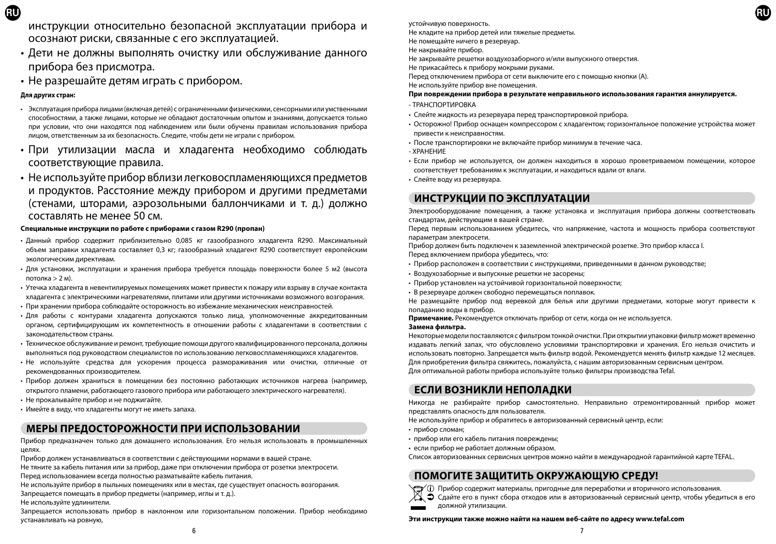инструкции относительно безопасной эксплуатации прибора и осознают риски, связанные с его эксплуатацией.

- Дети не должны выполнять очистку или обслуживание данного прибора без присмотра.
- Не разрешайте детям играть с прибором.

#### **Для других стран:**

- Эксплуатация прибора лицами (включая детей) с ограниченными физическими, сенсорными или умственными способностями, а также лицами, которые не обладают достаточным опытом и знаниями, допускается только при условии, что они находятся под наблюдением или были обучены правилам использования прибора лицом, ответственным за их безопасность. Следите, чтобы дети не играли с прибором.
- При утилизации масла и хладагента необходимо соблюдать соответствующие правила.
- Не используйте прибор вблизи легковоспламеняющихся предметов и продуктов. Расстояние между прибором и другими предметами (стенами, шторами, аэрозольными баллончиками и т. д.) должно составлять не менее 50 см.

#### **Специальные инструкции по работе с приборами с газом R290 (пропан)**

- Данный прибор содержит приблизительно 0,085 кг газообразного хладагента R290. Максимальный объем заправки хладагента составляет 0,3 кг; газообразный хладагент R290 соответствует европейским экологическим директивам.
- Для установки, эксплуатации и хранения прибора требуется площадь поверхности более 5 м2 (высота потолка > 2 м).
- Утечка хладагента в невентилируемых помещениях может привести к пожару или взрыву в случае контакта хладагента с электрическими нагревателями, плитами или другими источниками возможного возгорания.
- При хранении прибора соблюдайте осторожность во избежание механических неисправностей.
- Для работы с контурами хладагента допускаются только лица, уполномоченные аккредитованным органом, сертифицирующим их компетентность в отношении работы с хладагентами в соответствии с законодательством страны.
- Техническое обслуживание и ремонт, требующие помощи другого квалифицированного персонала, должны выполняться под руководством специалистов по использованию легковоспламеняющихся хладагентов.
- Не используйте средства для ускорения процесса размораживания или очистки, отличные от рекомендованных производителем.
- Прибор должен храниться в помещении без постоянно работающих источников нагрева (например, открытого пламени, работающего газового прибора или работающего электрического нагревателя).
- Не прокалывайте прибор и не поджигайте.
- Имейте в виду, что хладагенты могут не иметь запаха.

## **МЕРЫ ПРЕДОСТОРОЖНОСТИ ПРИ ИСПОЛЬЗОВАНИИ**

Прибор предназначен только для домашнего использования. Его нельзя использовать в промышленных целях.

Прибор должен устанавливаться в соответствии с действующими нормами в вашей стране.

Не тяните за кабель питания или за прибор, даже при отключении прибора от розетки электросети. Перед использованием всегда полностью разматывайте кабель питания.

Не используйте прибор в пыльных помещениях или в местах, где существует опасность возгорания.

Запрещается помещать в прибор предметы (например, иглы и т. д.).

Не используйте удлинители.

Запрещается использовать прибор в наклонном или горизонтальном положении. Прибор необходимо устанавливать на ровную,

устойчивую поверхность.

Не кладите на прибор детей или тяжелые предметы.

Не помещайте ничего в резервуар. Не накрывайте прибор.

Не закрывайте решетки воздухозаборного и/или выпускного отверстия.

Не прикасайтесь к прибору мокрыми руками.

Перед отключением прибора от сети выключите его с помощью кнопки (A).

Не используйте прибор вне помещения.

#### **При повреждении прибора в результате неправильного использования гарантия аннулируется.**

- ТРАНСПОРТИРОВКА
- Слейте жидкость из резервуара перед транспортировкой прибора.
- Осторожно! Прибор оснащен компрессором с хладагентом; горизонтальное положение устройства может привести к неисправностям.
- После транспортировки не включайте прибор минимум в течение часа.
- ХРАНЕНИЕ
- Если прибор не используется, он должен находиться в хорошо проветриваемом помещении, которое соответствует требованиям к эксплуатации, и находиться вдали от влаги.
- Слейте воду из резервуара.

## **ИНСТРУКЦИИ ПО ЭКСПЛУАТАЦИИ**

Электрооборудование помещения, а также установка и эксплуатация прибора должны соответствовать стандартам, действующим в вашей стране.

Перед первым использованием убедитесь, что напряжение, частота и мощность прибора соответствуют параметрам электросети.

Прибор должен быть подключен к заземленной электрической розетке. Это прибор класса I.

Перед включением прибора убедитесь, что:

- Прибор расположен в соответствии с инструкциями, приведенными в данном руководстве;
- Воздухозаборные и выпускные решетки не засорены;
- Прибор установлен на устойчивой горизонтальной поверхности;
- В резервуаре должен свободно перемещаться поплавок.

Не размещайте прибор под веревкой для белья или другими предметами, которые могут привести к попаданию воды в прибор.

**Примечание.** Рекомендуется отключать прибор от сети, когда он не используется.

#### **Замена фильтра.**

Некоторые модели поставляются с фильтром тонкой очистки. При открытии упаковки фильтр может временно издавать легкий запах, что обусловлено условиями транспортировки и хранения. Его нельзя очистить и использовать повторно. Запрещается мыть фильтр водой. Рекомендуется менять фильтр каждые 12 месяцев. Для приобретения фильтра свяжитесь, пожалуйста, с нашим авторизованным сервисным центром. Для оптимальной работы прибора используйте только фильтры производства Tefal.

### **ЕСЛИ ВОЗНИКЛИ НЕПОЛАДКИ**

Никогда не разбирайте прибор самостоятельно. Неправильно отремонтированный прибор может представлять опасность для пользователя.

Не используйте прибор и обратитесь в авторизованный сервисный центр, если:

- прибор сломан;
- прибор или его кабель питания повреждены;
- если прибор не работает должным образом.

Список авторизованных сервисных центров можно найти в международной гарантийной карте TEFAL.

## **ПОМОГИТЕ ЗАЩИТИТЬ ОКРУЖАЮЩУЮ СРЕДУ!**

Прибор содержит материалы, пригодные для переработки и вторичного использования.

Сдайте его в пункт сбора отходов или в авторизованный сервисный центр, чтобы убедиться в его должной утилизации.

#### **Эти инструкции также можно найти на нашем веб-сайте по адресу www.tefal.com**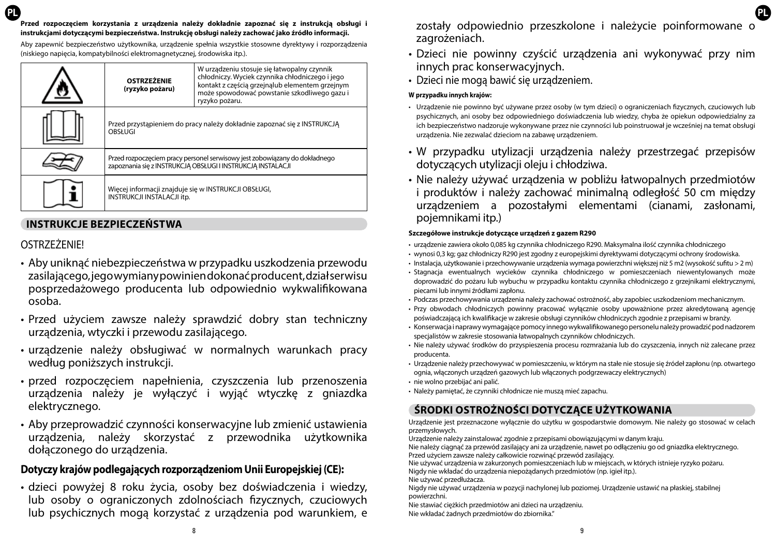**PL PL Przed rozpoczęciem korzystania z urządzenia należy dokładnie zapoznać się z instrukcją obsługi i instrukcjami dotyczącymi bezpieczeństwa. Instrukcję obsługi należy zachować jako źródło informacji.**

Aby zapewnić bezpieczeństwo użytkownika, urządzenie spełnia wszystkie stosowne dyrektywy i rozporządzenia (niskiego napięcia, kompatybilności elektromagnetycznej, środowiska itp.).

| <b>OSTRZEŻENIE</b><br>(ryzyko pożaru)                                                                                                     | W urządzeniu stosuje się łatwopalny czynnik<br>chłodniczy. Wyciek czynnika chłodniczego i jego<br>kontakt z częścią grzejnąlub elementem grzejnym<br>może spowodować powstanie szkodliwego gazu i<br>ryzyko pożaru. |
|-------------------------------------------------------------------------------------------------------------------------------------------|---------------------------------------------------------------------------------------------------------------------------------------------------------------------------------------------------------------------|
| Przed przystąpieniem do pracy należy dokładnie zapoznać się z INSTRUKCJĄ<br>OBSŁUGI                                                       |                                                                                                                                                                                                                     |
| Przed rozpoczęciem pracy personel serwisowy jest zobowiązany do dokładnego<br>zapoznania się z INSTRUKCJĄ OBSŁUGI I INSTRUKCJĄ INSTALACJI |                                                                                                                                                                                                                     |
| Więcej informacji znajduje się w INSTRUKCJI OBSŁUGI,<br>INSTRUKCJI INSTALACJI itp.                                                        |                                                                                                                                                                                                                     |

### **INSTRUKCJE BEZPIECZEŃSTWA**

### OSTRZEŻENIE!

- Aby uniknąć niebezpieczeństwa w przypadku uszkodzenia przewodu zasilającego, jego wymiany powinien dokonać producent, dział serwisu posprzedażowego producenta lub odpowiednio wykwalifikowana osoba.
- Przed użyciem zawsze należy sprawdzić dobry stan techniczny urządzenia, wtyczki i przewodu zasilającego.
- urządzenie należy obsługiwać w normalnych warunkach pracy według poniższych instrukcji.
- przed rozpoczęciem napełnienia, czyszczenia lub przenoszenia urządzenia należy je wyłączyć i wyjąć wtyczkę z gniazdka elektrycznego.
- Aby przeprowadzić czynności konserwacyjne lub zmienić ustawienia urządzenia, należy skorzystać z przewodnika użytkownika dołączonego do urządzenia.

## **Dotyczy krajów podlegających rozporządzeniom Unii Europejskiej (CE):**

• dzieci powyżej 8 roku życia, osoby bez doświadczenia i wiedzy, lub osoby o ograniczonych zdolnościach fizycznych, czuciowych lub psychicznych mogą korzystać z urządzenia pod warunkiem, e

zostały odpowiednio przeszkolone i należycie poinformowane o zagrożeniach.

- Dzieci nie powinny czyścić urządzenia ani wykonywać przy nim innych prac konserwacyjnych.
- Dzieci nie mogą bawić się urządzeniem.

#### **W przypadku innych krajów:**

- Urządzenie nie powinno być używane przez osoby (w tym dzieci) o ograniczeniach fizycznych, czuciowych lub psychicznych, ani osoby bez odpowiedniego doświadczenia lub wiedzy, chyba że opiekun odpowiedzialny za ich bezpieczeństwo nadzoruje wykonywane przez nie czynności lub poinstruował je wcześniej na temat obsługi urządzenia. Nie zezwalać dzieciom na zabawę urządzeniem.
- W przypadku utylizacji urządzenia należy przestrzegać przepisów dotyczących utylizacji oleju i chłodziwa.
- Nie należy używać urządzenia w pobliżu łatwopalnych przedmiotów i produktów i należy zachować minimalną odległość 50 cm między urządzeniem a pozostałymi elementami (cianami, zasłonami, pojemnikami itp.)

#### **Szczegółowe instrukcje dotyczące urządzeń z gazem R290**

- urządzenie zawiera około 0,085 kg czynnika chłodniczego R290. Maksymalna ilość czynnika chłodniczego
- wynosi 0,3 kg; gaz chłodniczy R290 jest zgodny z europejskimi dyrektywami dotyczącymi ochrony środowiska.
- Instalacja, użytkowanie i przechowywanie urządzenia wymaga powierzchni większej niż 5 m2 (wysokość sufitu > 2 m)
- Stagnacja ewentualnych wycieków czynnika chłodniczego w pomieszczeniach niewentylowanych może doprowadzić do pożaru lub wybuchu w przypadku kontaktu czynnika chłodniczego z grzejnikami elektrycznymi, piecami lub innymi źródłami zapłonu.
- Podczas przechowywania urządzenia należy zachować ostrożność, aby zapobiec uszkodzeniom mechanicznym.
- Przy obwodach chłodniczych powinny pracować wyłącznie osoby upoważnione przez akredytowaną agencję poświadczającą ich kwalifikacje w zakresie obsługi czynników chłodniczych zgodnie z przepisami w branży.
- Konserwacja i naprawy wymagające pomocy innego wykwalifikowanego personelu należy prowadzić pod nadzorem specjalistów w zakresie stosowania łatwopalnych czynników chłodniczych.
- Nie należy używać środków do przyspieszenia procesu rozmrażania lub do czyszczenia, innych niż zalecane przez producenta.
- Urządzenie należy przechowywać w pomieszczeniu, w którym na stałe nie stosuje się źródeł zapłonu (np. otwartego ognia, włączonych urządzeń gazowych lub włączonych podgrzewaczy elektrycznych)
- nie wolno przebijać ani palić.
- Należy pamiętać, że czynniki chłodnicze nie muszą mieć zapachu.

# **ŚRODKI OSTROŻNOŚCI DOTYCZĄCE UŻYTKOWANIA**

Urządzenie jest przeznaczone wyłącznie do użytku w gospodarstwie domowym. Nie należy go stosować w celach przemysłowych.

Urządzenie należy zainstalować zgodnie z przepisami obowiązującymi w danym kraju.

Nie należy ciągnąć za przewód zasilający ani za urządzenie, nawet po odłączeniu go od gniazdka elektrycznego. Przed użyciem zawsze należy całkowicie rozwinąć przewód zasilający.

Nie używać urządzenia w zakurzonych pomieszczeniach lub w miejscach, w których istnieje ryzyko pożaru. Nigdy nie wkładać do urządzenia niepożądanych przedmiotów (np. igieł itp.).

Nie używać przedłużacza.

Nigdy nie używać urządzenia w pozycji nachylonej lub poziomej. Urządzenie ustawić na płaskiej, stabilnej powierzchni.

Nie stawiać ciężkich przedmiotów ani dzieci na urządzeniu. Nie wkładać żadnych przedmiotów do zbiornika."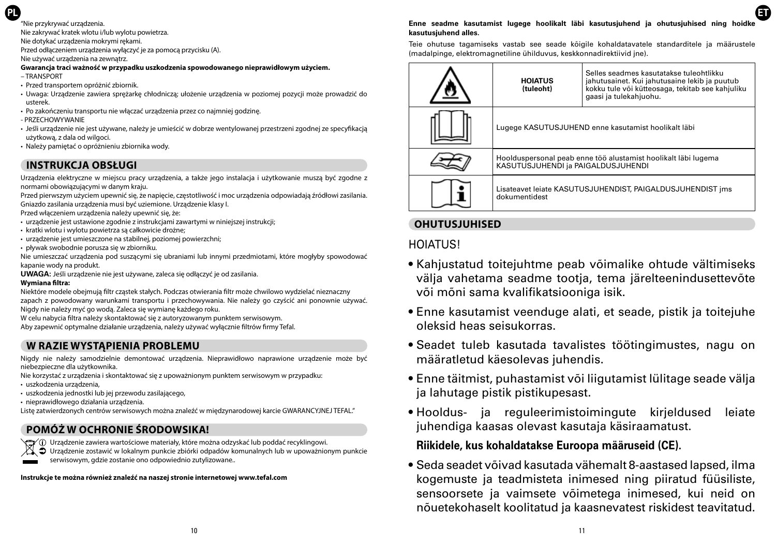### **PL**

"Nie przykrywać urządzenia.

Nie zakrywać kratek wlotu i/lub wylotu powietrza.

Nie dotykać urządzenia mokrymi rękami.

Przed odłączeniem urządzenia wyłączyć je za pomocą przycisku (A).

Nie używać urządzenia na zewnątrz.

**Gwarancja traci ważność w przypadku uszkodzenia spowodowanego nieprawidłowym użyciem.** – TRANSPORT

- Przed transportem opróżnić zbiornik.
- Uwaga: Urządzenie zawiera sprężarkę chłodniczą; ułożenie urządzenia w poziomej pozycji może prowadzić do usterek.
- Po zakończeniu transportu nie włączać urządzenia przez co najmniej godzinę.
- PRZECHOWYWANIE
- Jeśli urządzenie nie jest używane, należy je umieścić w dobrze wentylowanej przestrzeni zgodnej ze specyfikacją użytkową, z dala od wilgoci.
- Należy pamiętać o opróżnieniu zbiornika wody.

## **INSTRUKCJA OBSŁUGI**

Urządzenia elektryczne w miejscu pracy urządzenia, a także jego instalacja i użytkowanie muszą być zgodne z normami obowiązującymi w danym kraju.

Przed pierwszym użyciem upewnić się, że napięcie, częstotliwość i moc urządzenia odpowiadają źródłowi zasilania. Gniazdo zasilania urządzenia musi być uziemione. Urządzenie klasy I.

Przed włączeniem urządzenia należy upewnić się, że:

- urządzenie jest ustawione zgodnie z instrukciami zawartymi w niniejszej instrukcji;
- kratki wlotu i wylotu powietrza są całkowicie drożne;
- urządzenie jest umieszczone na stabilnej, poziomej powierzchni;
- pływak swobodnie porusza się w zbiorniku.
- Nie umieszczać urządzenia pod suszącymi się ubraniami lub innymi przedmiotami, które mogłyby spowodować kapanie wody na produkt.
- **UWAGA:** Jeśli urządzenie nie jest używane, zaleca się odłączyć je od zasilania.

#### **Wymiana filtra:**

Niektóre modele obejmują filtr cząstek stałych. Podczas otwierania filtr może chwilowo wydzielać nieznaczny zapach z powodowany warunkami transportu i przechowywania. Nie należy go czyścić ani ponownie używać. Nigdy nie należy myć go wodą. Zaleca się wymianę każdego roku.

W celu nabycia filtra należy skontaktować się z autoryzowanym punktem serwisowym.

Aby zapewnić optymalne działanie urządzenia, należy używać wyłącznie filtrów firmy Tefal.

### **W RAZIE WYSTĄPIENIA PROBLEMU**

Nigdy nie należy samodzielnie demontować urządzenia. Nieprawidłowo naprawione urządzenie może być niebezpieczne dla użytkownika.

- Nie korzystać z urządzenia i skontaktować się z upoważnionym punktem serwisowym w przypadku: • uszkodzenia urządzenia,
- uszkodzenia jednostki lub jej przewodu zasilającego,
- nieprawidłowego działania urządzenia.

Listę zatwierdzonych centrów serwisowych można znaleźć w międzynarodowej karcie GWARANCYJNEJ TEFAL."

### **POMÓŻ W OCHRONIE ŚRODOWSIKA!**

- Urządzenie zawiera wartościowe materiały, które można odzyskać lub poddać recyklingowi.<br>N → Urządzenie zostawić w lokalnym punkcie zbiórki odpadów komunalnych lub w unoważnior
	- Urządzenie zostawić w lokalnym punkcie zbiórki odpadów komunalnych lub w upoważnionym punkcie serwisowym, gdzie zostanie ono odpowiednio zutylizowane..

**Instrukcje te można również znaleźć na naszej stronie internetowej www.tefal.com**

#### **Enne seadme kasutamist lugege hoolikalt läbi kasutusjuhend ja ohutusjuhised ning hoidke kasutusjuhend alles.**

**ET**

Teie ohutuse tagamiseks vastab see seade kõigile kohaldatavatele standarditele ja määrustele (madalpinge, elektromagnetiline ühilduvus, keskkonnadirektiivid jne).

| <b>HOIATUS</b><br>(tuleoht)                                                                          | Selles seadmes kasutatakse tuleohtlikku<br>jahutusainet. Kui jahutusaine lekib ja puutub<br>kokku tule või kütteosaga, tekitab see kahjuliku<br>gaasi ja tulekahjuohu. |
|------------------------------------------------------------------------------------------------------|------------------------------------------------------------------------------------------------------------------------------------------------------------------------|
| Lugege KASUTUSJUHEND enne kasutamist hoolikalt läbi                                                  |                                                                                                                                                                        |
| Hoolduspersonal peab enne töö alustamist hoolikalt läbi lugema<br>KASUTUSJUHENDI ja PAIGALDUSJUHENDI |                                                                                                                                                                        |
| Lisateavet leiate KASUTUSJUHENDIST, PAIGALDUSJUHENDIST ims<br>dokumentidest                          |                                                                                                                                                                        |

### **OHUTUSJUHISED**

## HOIATUS!

- Kahjustatud toitejuhtme peab võimalike ohtude vältimiseks välja vahetama seadme tootja, tema järelteenindusettevõte või mõni sama kvalifikatsiooniga isik.
- Enne kasutamist veenduge alati, et seade, pistik ja toitejuhe oleksid heas seisukorras.
- Seadet tuleb kasutada tavalistes töötingimustes, nagu on määratletud käesolevas juhendis.
- Enne täitmist, puhastamist või liigutamist lülitage seade välja ja lahutage pistik pistikupesast.
- Hooldus- ja reguleerimistoimingute kirjeldused leiate juhendiga kaasas olevast kasutaja käsiraamatust.

### **Riikidele, kus kohaldatakse Euroopa määruseid (CE).**

• Seda seadet võivad kasutada vähemalt 8-aastased lapsed, ilma kogemuste ja teadmisteta inimesed ning piiratud füüsiliste, sensoorsete ja vaimsete võimetega inimesed, kui neid on nõuetekohaselt koolitatud ja kaasnevatest riskidest teavitatud.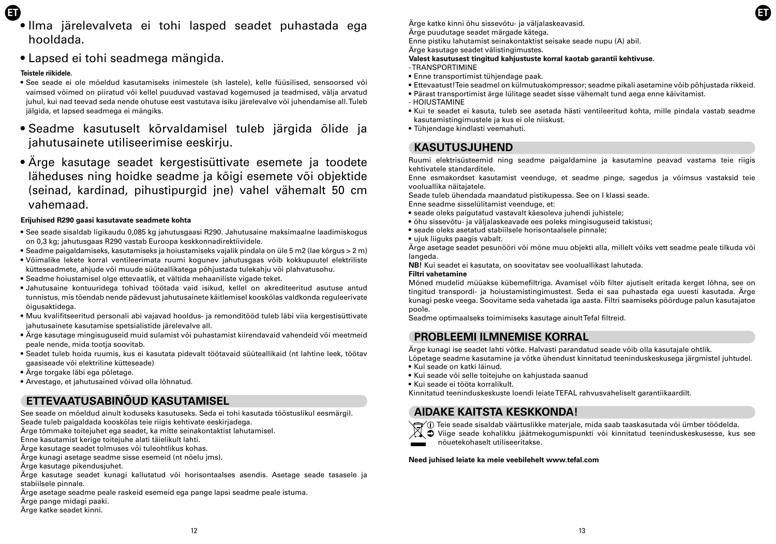- 
- **ET ET** • Ilma järelevalveta ei tohi lasped seadet puhastada ega hooldada.
	- Lapsed ei tohi seadmega mängida.

#### **Teistele riikidele.**

- See seade ei ole mõeldud kasutamiseks inimestele (sh lastele), kelle füüsilised, sensoorsed või vaimsed võimed on piiratud või kellel puuduvad vastavad kogemused ja teadmised, välja arvatud juhul, kui nad teevad seda nende ohutuse eest vastutava isiku järelevalve või juhendamise all. Tuleb jälgida, et lapsed seadmega ei mängiks.
- Seadme kasutuselt kõrvaldamisel tuleb järgida õlide ja jahutusainete utiliseerimise eeskirju.
- Ärge kasutage seadet kergestisüttivate esemete ja toodete läheduses ning hoidke seadme ja kõigi esemete või objektide (seinad, kardinad, pihustipurgid jne) vahel vähemalt 50 cm vahemaad.

#### **Erijuhised R290 gaasi kasutavate seadmete kohta**

- See seade sisaldab ligikaudu 0,085 kg jahutusgaasi R290. Jahutusaine maksimaalne laadimiskogus on 0,3 kg; jahutusgaas R290 vastab Euroopa keskkonnadirektiividele.
- Seadme paigaldamiseks, kasutamiseks ja hoiustamiseks vajalik pindala on üle 5 m2 (lae kõrgus > 2 m)
- Võimalike lekete korral ventileerimata ruumi kogunev jahutusgaas võib kokkupuutel elektriliste kütteseadmete, ahjude või muude süüteallikatega põhjustada tulekahju või plahvatusohu.
- Seadme hoiustamisel olge ettevaatlik, et vältida mehaaniliste vigade teket.
- Jahutusaine kontuuridega tohivad töötada vaid isikud, kellel on akrediteeritud asutuse antud tunnistus, mis tõendab nende pädevust jahutusainete käitlemisel kooskõlas valdkonda reguleerivate õigusaktidega.
- Muu kvalifitseeritud personali abi vajavad hooldus- ja remonditööd tuleb läbi viia kergestisüttivate jahutusainete kasutamise spetsialistide järelevalve all.
- Ärge kasutage mingisuguseid muid sulamist või puhastamist kiirendavaid vahendeid või meetmeid peale nende, mida tootja soovitab.
- Seadet tuleb hoida ruumis, kus ei kasutata pidevalt töötavaid süüteallikaid (nt lahtine leek, töötav gaasiseade või elektriline kütteseade)
- Ärge torgake läbi ega põletage.
- Arvestage, et jahutusained võivad olla lõhnatud.

## **ETTEVAATUSABINÕUD KASUTAMISEL**

See seade on mõeldud ainult koduseks kasutuseks. Seda ei tohi kasutada tööstuslikul eesmärgil. Seade tuleb paigaldada kooskõlas teie riigis kehtivate eeskirjadega.

Ärge tõmmake toitejuhet ega seadet, ka mitte seinakontaktist lahutamisel.

Enne kasutamist kerige toitejuhe alati täielikult lahti.

Ärge kasutage seadet tolmuses või tuleohtlikus kohas.

Ärge kunagi asetage seadme sisse esemeid (nt nõelu jms).

Ärge kasutage pikendusjuhet.

Ärge kasutage seadet kunagi kallutatud või horisontaalses asendis. Asetage seade tasasele ja stabiilsele pinnale.

Ärge asetage seadme peale raskeid esemeid ega pange lapsi seadme peale istuma.

- Ärge pange midagi paaki.
- Ärge katke seadet kinni.

Ärge katke kinni õhu sissevõtu- ja väljalaskeavasid. Ärge puudutage seadet märgade kätega.

Enne pistiku lahutamist seinakontaktist seisake seade nupu (A) abil.

Ärge kasutage seadet välistingimustes.

- **Valest kasutusest tingitud kahjustuste korral kaotab garantii kehtivuse.**
- TRANSPORTIMINE
- Enne transportimist tühjendage paak.
- Ettevaatust! Teie seadmel on külmutuskompressor; seadme pikali asetamine võib põhjustada rikkeid.
- Pärast transportimist ärge lülitage seadet sisse vähemalt tund aega enne käivitamist. - HOIUSTAMINE
- Kui te seadet ei kasuta, tuleb see asetada hästi ventileeritud kohta, mille pindala vastab seadme kasutamistingimustele ja kus ei ole niiskust.
- Tühjendage kindlasti veemahuti.

### **KASUTUSJUHEND**

Ruumi elektrisüsteemid ning seadme paigaldamine ja kasutamine peavad vastama teie riigis kehtivatele standarditele.

Enne esmakordset kasutamist veenduge, et seadme pinge, sagedus ja võimsus vastaksid teie vooluallika näitajatele.

Seade tuleb ühendada maandatud pistikupessa. See on I klassi seade. Enne seadme sisselülitamist veenduge, et:

• seade oleks paigutatud vastavalt käesoleva juhendi juhistele;

- õhu sissevõtu- ja väljalaskeavade ees poleks mingisuguseid takistusi;
- seade oleks asetatud stabiilsele horisontaalsele pinnale;
- ujuk liiguks paagis vabalt.

Ärge asetage seadet pesunööri või mõne muu objekti alla, millelt võiks vett seadme peale tilkuda või langeda.

**NB!** Kui seadet ei kasutata, on soovitatav see vooluallikast lahutada.

#### **Filtri vahetamine**

Mõned mudelid müüakse kübemefiltriga. Avamisel võib filter ajutiselt eritada kerget lõhna, see on tingitud transpordi- ja hoiustamistingimustest. Seda ei saa puhastada ega uuesti kasutada. Ärge kunagi peske veega. Soovitame seda vahetada iga aasta. Filtri saamiseks pöörduge palun kasutajatoe poole.

Seadme optimaalseks toimimiseks kasutage ainult Tefal filtreid.

### **PROBLEEMI ILMNEMISE KORRAL**

Ärge kunagi ise seadet lahti võtke. Halvasti parandatud seade võib olla kasutajale ohtlik.

Lõpetage seadme kasutamine ja võtke ühendust kinnitatud teeninduskeskusega järgmistel juhtudel.

- Kui seade on katki läinud.
- Kui seade või selle toitejuhe on kahjustada saanud
- Kui seade ei tööta korralikult.

Kinnitatud teeninduskeskuste loendi leiate TEFAL rahvusvaheliselt garantiikaardilt.

### **AIDAKE KAITSTA KESKKONDA!**

Teie seade sisaldab väärtuslikke materjale, mida saab taaskasutada või ümber töödelda.

Viige seade kohalikku jäätmekogumispunkti või kinnitatud teeninduskeskusesse, kus see nõuetekohaselt utiliseeritakse.

**Need juhised leiate ka meie veebilehelt www.tefal.com**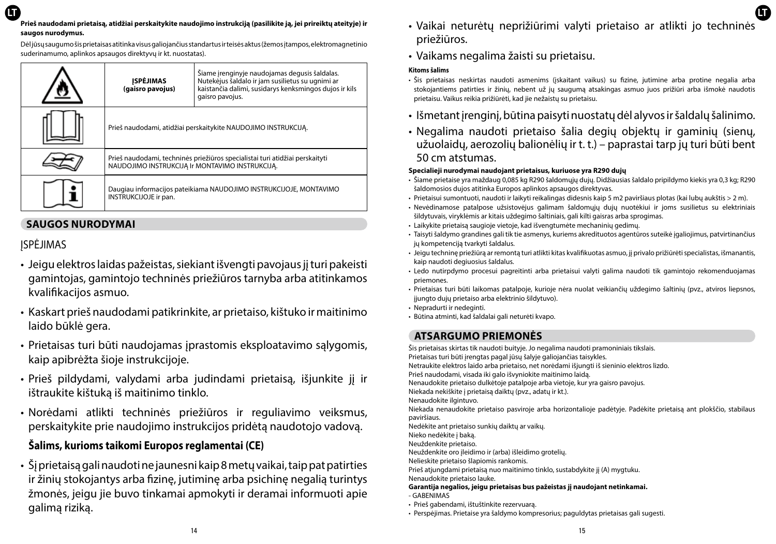#### **LT LT Prieš naudodami prietaisą, atidžiai perskaitykite naudojimo instrukciją (pasilikite ją, jei prireiktų ateityje) ir saugos nurodymus.**

Dėl jūsų saugumo šis prietaisas atitinka visus galiojančius standartus ir teisės aktus (žemos įtampos, elektromagnetinio suderinamumo, aplinkos apsaugos direktyvų ir kt. nuostatas).

| <b>ISPĖJIMAS</b><br>(gaisro pavojus)                                                                                            | Šiame įrenginyje naudojamas degusis šaldalas.<br>Nutekėjus šaldalo ir jam susilietus su ugnimi ar<br>kaistančia dalimi, susidarys kenksmingos dujos ir kils<br>gaisro pavojus. |
|---------------------------------------------------------------------------------------------------------------------------------|--------------------------------------------------------------------------------------------------------------------------------------------------------------------------------|
| Prieš naudodami, atidžiai perskaitykite NAUDOJIMO INSTRUKCIJA.                                                                  |                                                                                                                                                                                |
| Prieš naudodami, techninės priežiūros specialistai turi atidžiai perskaityti<br>NAUDOJIMO INSTRUKCIJA Ir MONTAVIMO INSTRUKCIJA. |                                                                                                                                                                                |
| Daugiau informacijos pateikiama NAUDOJIMO INSTRUKCIJOJE, MONTAVIMO<br>INSTRUKCIJOJE ir pan.                                     |                                                                                                                                                                                |

## **SAUGOS NURODYMAI**

ĮSPĖJIMAS

- Jeigu elektros laidas pažeistas, siekiant išvengti pavojaus jį turi pakeisti gamintojas, gamintojo techninės priežiūros tarnyba arba atitinkamos kvalifikacijos asmuo.
- Kaskart prieš naudodami patikrinkite, ar prietaiso, kištuko ir maitinimo laido būklė gera.
- Prietaisas turi būti naudojamas įprastomis eksploatavimo sąlygomis, kaip apibrėžta šioje instrukcijoje.
- Prieš pildydami, valydami arba judindami prietaisą, išjunkite jį ir ištraukite kištuką iš maitinimo tinklo.
- Norėdami atlikti techninės priežiūros ir reguliavimo veiksmus, perskaitykite prie naudojimo instrukcijos pridėtą naudotojo vadovą.

## **Šalims, kurioms taikomi Europos reglamentai (CE)**

• Šį prietaisą gali naudoti ne jaunesni kaip 8 metų vaikai, taip pat patirties ir žinių stokojantys arba fizinę, jutiminę arba psichinę negalią turintys žmonės, jeigu jie buvo tinkamai apmokyti ir deramai informuoti apie galimą riziką.

- Vaikai neturėtų neprižiūrimi valyti prietaiso ar atlikti jo techninės priežiūros.
- Vaikams negalima žaisti su prietaisu.

#### **Kitoms šalims**

- Šis prietaisas neskirtas naudoti asmenims (įskaitant vaikus) su fizine, jutimine arba protine negalia arba stokojantiems patirties ir žinių, nebent už jų saugumą atsakingas asmuo juos prižiūri arba išmokė naudotis prietaisu. Vaikus reikia prižiūrėti, kad jie nežaistų su prietaisu.
- Išmetant įrenginį, būtina paisyti nuostatų dėl alyvos ir šaldalų šalinimo.
- Negalima naudoti prietaiso šalia degių objektų ir gaminių (sienų, užuolaidų, aerozolių balionėlių ir t. t.) – paprastai tarp jų turi būti bent 50 cm atstumas.

#### **Specialieji nurodymai naudojant prietaisus, kuriuose yra R290 dujų**

- Šiame prietaise yra maždaug 0,085 kg R290 šaldomųjų dujų. Didžiausias šaldalo pripildymo kiekis yra 0,3 kg; R290 šaldomosios dujos atitinka Europos aplinkos apsaugos direktyvas.
- Prietaisui sumontuoti, naudoti ir laikyti reikalingas didesnis kaip 5 m2 paviršiaus plotas (kai lubų aukštis > 2 m).
- Nevėdinamose patalpose užsistovėjus galimam šaldomųjų dujų nuotėkiui ir joms susilietus su elektriniais šildytuvais, viryklėmis ar kitais uždegimo šaltiniais, gali kilti gaisras arba sprogimas.
- Laikykite prietaisą saugioje vietoje, kad išvengtumėte mechaninių gedimų.
- Taisyti šaldymo grandines gali tik tie asmenys, kuriems akredituotos agentūros suteikė įgaliojimus, patvirtinančius jų kompetenciją tvarkyti šaldalus.
- Jeigu techninę priežiūrą ar remontą turi atlikti kitas kvalifikuotas asmuo, jį privalo prižiūrėti specialistas, išmanantis, kaip naudoti degiuosius šaldalus.
- Ledo nutirpdymo procesui pagreitinti arba prietaisui valyti galima naudoti tik gamintojo rekomenduojamas priemones.
- Prietaisas turi būti laikomas patalpoje, kurioje nėra nuolat veikiančių uždegimo šaltinių (pvz., atviros liepsnos, įjungto dujų prietaiso arba elektrinio šildytuvo).
- Nepradurti ir nedeginti.
- Būtina atminti, kad šaldalai gali neturėti kvapo.

# **ATSARGUMO PRIEMONĖS**

Šis prietaisas skirtas tik naudoti buityje. Jo negalima naudoti pramoniniais tikslais. Prietaisas turi būti įrengtas pagal jūsų šalyje galiojančias taisykles. Netraukite elektros laido arba prietaiso, net norėdami išjungti iš sieninio elektros lizdo. Prieš naudodami, visada iki galo išvyniokite maitinimo laidą. Nenaudokite prietaiso dulkėtoje patalpoje arba vietoje, kur yra gaisro pavojus. Niekada nekiškite į prietaisą daiktų (pvz., adatų ir kt.). Nenaudokite ilgintuvo. Niekada nenaudokite prietaiso pasviroje arba horizontalioje padėtyje. Padėkite prietaisą ant plokščio, stabilaus paviršiaus. Nedėkite ant prietaiso sunkių daiktų ar vaikų. Nieko nedėkite į baką. Neuždenkite prietaiso. Neuždenkite oro įleidimo ir (arba) išleidimo grotelių. Nelieskite prietaiso šlapiomis rankomis. Prieš atjungdami prietaisą nuo maitinimo tinklo, sustabdykite jį (A) mygtuku. Nenaudokite prietaiso lauke. **Garantija negalios, jeigu prietaisas bus pažeistas jį naudojant netinkamai.** - GABENIMAS

• Perspėjimas. Prietaise yra šaldymo kompresorius; paguldytas prietaisas gali sugesti.

<sup>•</sup> Prieš gabendami, ištuštinkite rezervuarą.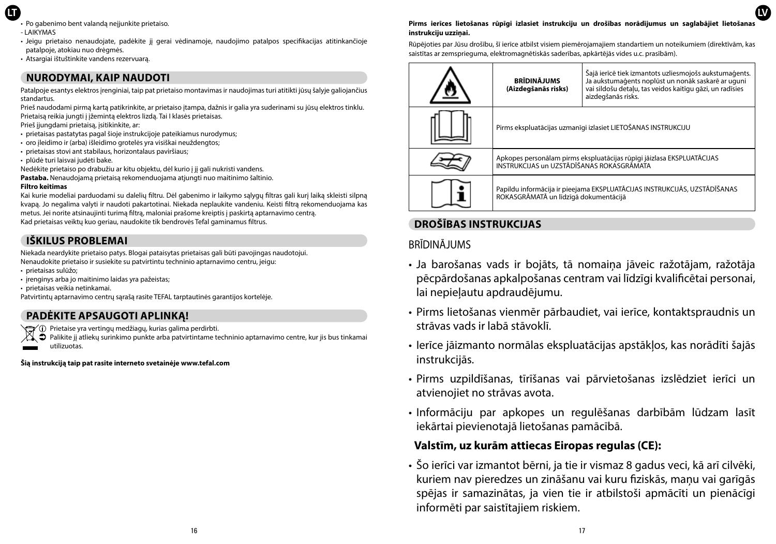- **LT**
	- Po gabenimo bent valanda neijunkite prietaiso.
	- LAIKYMAS
	- Jeigu prietaiso nenaudojate, padėkite jį gerai vėdinamoje, naudojimo patalpos specifikacijas atitinkančioje patalpoje, atokiau nuo drėgmės.
	- Atsargiai ištuštinkite vandens rezervuarą.

### **NURODYMAI, KAIP NAUDOTI**

Patalpoje esantys elektros įrenginiai, taip pat prietaiso montavimas ir naudojimas turi atitikti jūsų šalyje galiojančius standartus.

Prieš naudodami pirmą kartą patikrinkite, ar prietaiso įtampa, dažnis ir galia yra suderinami su jūsų elektros tinklu. Prietaisą reikia jungti į įžemintą elektros lizdą. Tai I klasės prietaisas.

Prieš įjungdami prietaisą, įsitikinkite, ar:

- prietaisas pastatytas pagal šioje instrukcijoje pateikiamus nurodymus;
- oro įleidimo ir (arba) išleidimo grotelės yra visiškai neuždengtos;
- prietaisas stovi ant stabilaus, horizontalaus paviršiaus;
- plūdė turi laisvai judėti bake.

Nedėkite prietaiso po drabužiu ar kitu objektu, dėl kurio į jį gali nukristi vandens. **Pastaba.** Nenaudojamą prietaisą rekomenduojama atjungti nuo maitinimo šaltinio.

#### **Filtro keitimas**

Kai kurie modeliai parduodami su dalelių filtru. Dėl gabenimo ir laikymo sąlygų filtras gali kurį laiką skleisti silpną kvapą. Jo negalima valyti ir naudoti pakartotinai. Niekada neplaukite vandeniu. Keisti filtrą rekomenduojama kas metus. Jei norite atsinaujinti turimą filtrą, maloniai prašome kreiptis į paskirtą aptarnavimo centrą. Kad prietaisas veiktų kuo geriau, naudokite tik bendrovės Tefal gaminamus filtrus.

### **IŠKILUS PROBLEMAI**

Niekada neardykite prietaiso patys. Blogai pataisytas prietaisas gali būti pavojingas naudotojui. Nenaudokite prietaiso ir susiekite su patvirtintu techninio aptarnavimo centru, jeigu: • prietaisas sulūžo;

- įrenginys arba jo maitinimo laidas yra pažeistas;
- prietaisas veikia netinkamai.

Patvirtintų aptarnavimo centrų sąrašą rasite TEFAL tarptautinės garantijos kortelėje.

### **PADĖKITE APSAUGOTI APLINKĄ!**

- Prietaise yra vertingų medžiagų, kurias galima perdirbti.
- Palikite jį atliekų surinkimo punkte arba patvirtintame techninio aptarnavimo centre, kur jis bus tinkamai utilizuotas.

**Šią instrukciją taip pat rasite interneto svetainėje www.tefal.com**

#### **Pirms ierīces lietošanas rūpīgi izlasiet instrukciju un drošības norādījumus un saglabājiet lietošanas instrukciju uzziņai.**

**LV**

Rūpējoties par Jūsu drošību, šī ierīce atbilst visiem piemērojamajiem standartiem un noteikumiem (direktīvām, kas saistītas ar zemsprieguma, elektromagnētiskās saderības, apkārtējās vides u.c. prasībām).

| <b>BRĪDINĀJUMS</b><br>(Aizdegšanās risks)                                                                           | Šajā ierīcē tiek izmantots uzliesmojošs aukstumaģents.<br>Ja aukstumaģents noplūst un nonāk saskarē ar uguni<br>vai sildošu detalu, tas veidos kaitīgu gāzi, un radīsies<br>aizdegšanās risks. |
|---------------------------------------------------------------------------------------------------------------------|------------------------------------------------------------------------------------------------------------------------------------------------------------------------------------------------|
| Pirms ekspluatācijas uzmanīgi izlasiet LIETOŠANAS INSTRUKCIJU                                                       |                                                                                                                                                                                                |
| Apkopes personālam pirms ekspluatācijas rūpīgi jāizlasa EKSPLUATĀCIJAS<br>INSTRUKCIJAS UN UZSTĀDĪŠANAS ROKASGRĀMATA |                                                                                                                                                                                                |
| Papildu informācija ir pieejama EKSPLUATĀCIJAS INSTRUKCIJĀS, UZSTĀDĪŠANAS<br>ROKASGRĀMATĀ un līdzīgā dokumentācijā  |                                                                                                                                                                                                |

### **DROŠĪBAS INSTRUKCIJAS**

### BRĪDINĀJUMS

- Ja barošanas vads ir bojāts, tā nomaiņa jāveic ražotājam, ražotāja pēcpārdošanas apkalpošanas centram vai līdzīgi kvalificētai personai, lai nepieļautu apdraudējumu.
- Pirms lietošanas vienmēr pārbaudiet, vai ierīce, kontaktspraudnis un strāvas vads ir labā stāvoklī.
- Ierīce jāizmanto normālas ekspluatācijas apstākļos, kas norādīti šajās instrukcijās.
- Pirms uzpildīšanas, tīrīšanas vai pārvietošanas izslēdziet ierīci un atvienojiet no strāvas avota.
- Informāciju par apkopes un regulēšanas darbībām lūdzam lasīt iekārtai pievienotajā lietošanas pamācībā.

### **Valstīm, uz kurām attiecas Eiropas regulas (CE):**

• Šo ierīci var izmantot bērni, ja tie ir vismaz 8 gadus veci, kā arī cilvēki, kuriem nav pieredzes un zināšanu vai kuru fiziskās, maņu vai garīgās spējas ir samazinātas, ja vien tie ir atbilstoši apmācīti un pienācīgi informēti par saistītajiem riskiem.